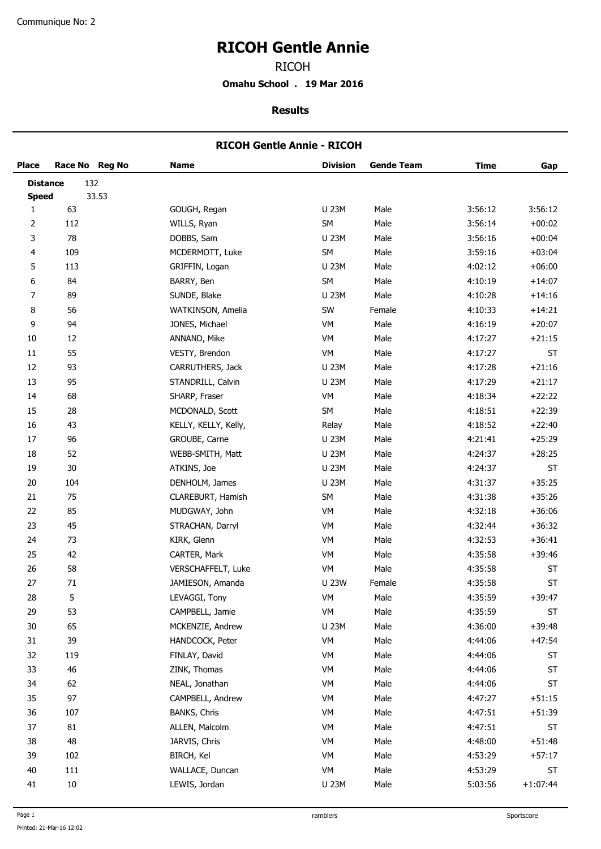## **RICOH Gentle Annie**

RICOH

**Omahu School . 19 Mar 2016**

**Results**

#### **RICOH Gentle Annie - RICOH**

| <b>Place</b>    |         | Race No Reg No | <b>Name</b>          | <b>Division</b> | <b>Gende Team</b> | <b>Time</b> | Gap        |
|-----------------|---------|----------------|----------------------|-----------------|-------------------|-------------|------------|
| <b>Distance</b> |         | 132            |                      |                 |                   |             |            |
| <b>Speed</b>    |         | 33.53          |                      |                 |                   |             |            |
| $\mathbf{1}$    | 63      |                | GOUGH, Regan         | U 23M           | Male              | 3:56:12     | 3:56:12    |
| 2               | 112     |                | WILLS, Ryan          | SM              | Male              | 3:56:14     | $+00:02$   |
| 3               | 78      |                | DOBBS, Sam           | U 23M           | Male              | 3:56:16     | $+00:04$   |
| 4               | 109     |                | MCDERMOTT, Luke      | SM              | Male              | 3:59:16     | $+03:04$   |
| 5               | 113     |                | GRIFFIN, Logan       | U 23M           | Male              | 4:02:12     | $+06:00$   |
| 6               | 84      |                | BARRY, Ben           | SM              | Male              | 4:10:19     | $+14:07$   |
| 7               | 89      |                | SUNDE, Blake         | U 23M           | Male              | 4:10:28     | $+14:16$   |
| 8               | 56      |                | WATKINSON, Amelia    | SW              | Female            | 4:10:33     | $+14:21$   |
| 9               | 94      |                | JONES, Michael       | VM              | Male              | 4:16:19     | $+20:07$   |
| $10\,$          | 12      |                | ANNAND, Mike         | VM              | Male              | 4:17:27     | $+21:15$   |
| 11              | 55      |                | VESTY, Brendon       | VM              | Male              | 4:17:27     | ST         |
| 12              | 93      |                | CARRUTHERS, Jack     | <b>U 23M</b>    | Male              | 4:17:28     | $+21:16$   |
| 13              | 95      |                | STANDRILL, Calvin    | U 23M           | Male              | 4:17:29     | $+21:17$   |
| 14              | 68      |                | SHARP, Fraser        | VM              | Male              | 4:18:34     | $+22:22$   |
| 15              | 28      |                | MCDONALD, Scott      | SM              | Male              | 4:18:51     | $+22:39$   |
| 16              | 43      |                | KELLY, KELLY, Kelly, | Relay           | Male              | 4:18:52     | $+22:40$   |
| 17              | 96      |                | GROUBE, Carne        | <b>U 23M</b>    | Male              | 4:21:41     | $+25:29$   |
| 18              | 52      |                | WEBB-SMITH, Matt     | U 23M           | Male              | 4:24:37     | $+28:25$   |
| 19              | 30      |                | ATKINS, Joe          | U 23M           | Male              | 4:24:37     | ST         |
| 20              | 104     |                | DENHOLM, James       | <b>U 23M</b>    | Male              | 4:31:37     | $+35:25$   |
| 21              | 75      |                | CLAREBURT, Hamish    | SM              | Male              | 4:31:38     | $+35:26$   |
| 22              | 85      |                | MUDGWAY, John        | VM              | Male              | 4:32:18     | $+36:06$   |
| 23              | 45      |                | STRACHAN, Darryl     | VM              | Male              | 4:32:44     | $+36:32$   |
| 24              | 73      |                | KIRK, Glenn          | VM              | Male              | 4:32:53     | $+36:41$   |
| 25              | 42      |                | CARTER, Mark         | VM              | Male              | 4:35:58     | $+39:46$   |
| 26              | 58      |                | VERSCHAFFELT, Luke   | VM              | Male              | 4:35:58     | ST         |
| 27              | 71      |                | JAMIESON, Amanda     | <b>U 23W</b>    | Female            | 4:35:58     | ST         |
| 28              | 5       |                | LEVAGGI, Tony        | VM              | Male              | 4:35:59     | $+39:47$   |
| 29              | 53      |                | CAMPBELL, Jamie      | VM              | Male              | 4:35:59     | ST         |
| 30              | 65      |                | MCKENZIE, Andrew     | U 23M           | Male              | 4:36:00     | $+39:48$   |
| 31              | 39      |                | HANDCOCK, Peter      | VM              | Male              | 4:44:06     | $+47:54$   |
| 32              | 119     |                | FINLAY, David        | VM              | Male              | 4:44:06     | ST         |
| 33              | 46      |                | ZINK, Thomas         | VM              | Male              | 4:44:06     | $\sf ST$   |
| 34              | 62      |                | NEAL, Jonathan       | VM              | Male              | 4:44:06     | ST         |
| 35              | 97      |                | CAMPBELL, Andrew     | VM              | Male              | 4:47:27     | $+51:15$   |
| 36              | 107     |                | BANKS, Chris         | VM              | Male              | 4:47:51     | $+51:39$   |
| 37              | 81      |                | ALLEN, Malcolm       | VM              | Male              | 4:47:51     | ST         |
| 38              | 48      |                | JARVIS, Chris        | VM              | Male              | 4:48:00     | $+51:48$   |
| 39              | 102     |                | BIRCH, Kel           | VM              | Male              | 4:53:29     | $+57:17$   |
| 40              | $111\,$ |                | WALLACE, Duncan      | VM              | Male              | 4:53:29     | ST         |
| 41              | $10\,$  |                | LEWIS, Jordan        | U 23M           | Male              | 5:03:56     | $+1:07:44$ |
|                 |         |                |                      |                 |                   |             |            |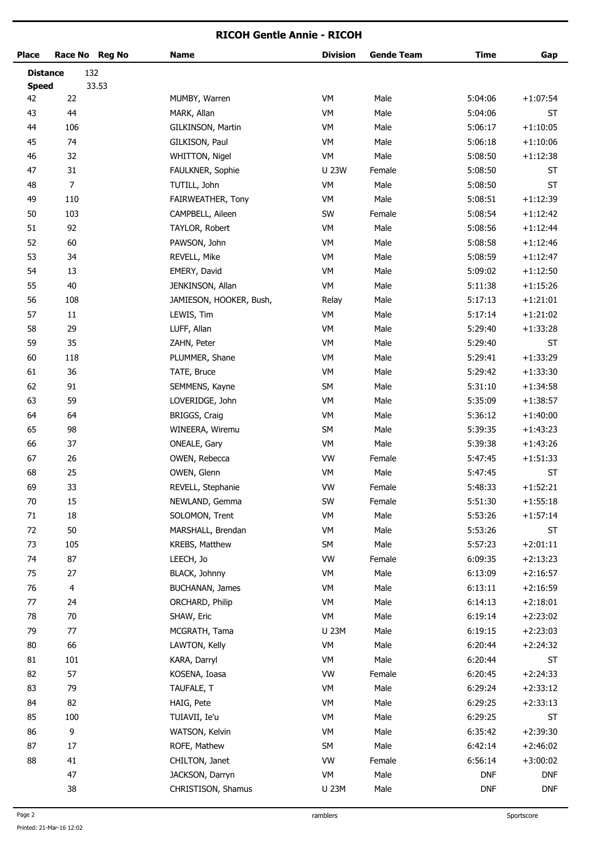#### **RICOH Gentle Annie - RICOH**

| <b>Place</b>    |                | Race No Reg No | <b>Name</b>             | <b>Division</b> | <b>Gende Team</b> | <b>Time</b> | Gap        |
|-----------------|----------------|----------------|-------------------------|-----------------|-------------------|-------------|------------|
| <b>Distance</b> |                | 132            |                         |                 |                   |             |            |
| <b>Speed</b>    |                | 33.53          |                         |                 |                   |             |            |
| 42              | 22             |                | MUMBY, Warren           | VM              | Male              | 5:04:06     | $+1:07:54$ |
| 43              | 44             |                | MARK, Allan             | VM              | Male              | 5:04:06     | ST         |
| 44              | 106            |                | GILKINSON, Martin       | VM              | Male              | 5:06:17     | $+1:10:05$ |
| 45              | 74             |                | GILKISON, Paul          | VM              | Male              | 5:06:18     | $+1:10:06$ |
| 46              | 32             |                | WHITTON, Nigel          | VM              | Male              | 5:08:50     | $+1:12:38$ |
| 47              | 31             |                | FAULKNER, Sophie        | <b>U 23W</b>    | Female            | 5:08:50     | <b>ST</b>  |
| 48              | $\overline{7}$ |                | TUTILL, John            | VM              | Male              | 5:08:50     | ST         |
| 49              | 110            |                | FAIRWEATHER, Tony       | VM              | Male              | 5:08:51     | $+1:12:39$ |
| 50              | 103            |                | CAMPBELL, Aileen        | SW              | Female            | 5:08:54     | $+1:12:42$ |
| 51              | 92             |                | TAYLOR, Robert          | VM              | Male              | 5:08:56     | $+1:12:44$ |
| 52              | 60             |                | PAWSON, John            | VM              | Male              | 5:08:58     | $+1:12:46$ |
| 53              | 34             |                | REVELL, Mike            | VM              | Male              | 5:08:59     | $+1:12:47$ |
| 54              | 13             |                | EMERY, David            | VM              | Male              | 5:09:02     | $+1:12:50$ |
| 55              | 40             |                | JENKINSON, Allan        | VM              | Male              | 5:11:38     | $+1:15:26$ |
| 56              | 108            |                | JAMIESON, HOOKER, Bush, | Relay           | Male              | 5:17:13     | $+1:21:01$ |
| 57              | $11\,$         |                | LEWIS, Tim              | VM              | Male              | 5:17:14     | $+1:21:02$ |
| 58              | 29             |                | LUFF, Allan             | VM              | Male              | 5:29:40     | $+1:33:28$ |
| 59              | 35             |                | ZAHN, Peter             | VM              | Male              | 5:29:40     | ST         |
| 60              | 118            |                | PLUMMER, Shane          | VM              | Male              | 5:29:41     | $+1:33:29$ |
| 61              | 36             |                | TATE, Bruce             | VM              | Male              | 5:29:42     | $+1:33:30$ |
| 62              | $91\,$         |                | SEMMENS, Kayne          | SM              | Male              | 5:31:10     | $+1:34:58$ |
| 63              | 59             |                | LOVERIDGE, John         | VM              | Male              | 5:35:09     | $+1:38:57$ |
| 64              | 64             |                | BRIGGS, Craig           | VM              | Male              | 5:36:12     | $+1:40:00$ |
| 65              | 98             |                | WINEERA, Wiremu         | SM              | Male              | 5:39:35     | $+1:43:23$ |
| 66              | 37             |                | ONEALE, Gary            | VM              | Male              | 5:39:38     | $+1:43:26$ |
| 67              | 26             |                | OWEN, Rebecca           | VW              | Female            | 5:47:45     | $+1:51:33$ |
| 68              | 25             |                | OWEN, Glenn             | VM              | Male              | 5:47:45     | ST         |
| 69              | 33             |                | REVELL, Stephanie       | VW              | Female            | 5:48:33     | $+1:52:21$ |
| $70\,$          | 15             |                | NEWLAND, Gemma          | SW              | Female            | 5:51:30     | $+1:55:18$ |
| $71\,$          | $18\,$         |                | SOLOMON, Trent          | VM              | Male              | 5:53:26     | $+1:57:14$ |
| 72              | $50\,$         |                | MARSHALL, Brendan       | VM              | Male              | 5:53:26     | ST         |
| 73              | 105            |                | KREBS, Matthew          | SM              | Male              | 5:57:23     | $+2:01:11$ |
| 74              | 87             |                | LEECH, Jo               | VW              | Female            | 6:09:35     | $+2:13:23$ |
| 75              | 27             |                | BLACK, Johnny           | VM              | Male              | 6:13:09     | $+2:16:57$ |
| 76              | 4              |                | BUCHANAN, James         | VM              | Male              | 6:13:11     | $+2:16:59$ |
| $77$            | 24             |                | ORCHARD, Philip         | VM              | Male              | 6:14:13     | $+2:18:01$ |
| 78              | $70\,$         |                | SHAW, Eric              | VM              | Male              | 6:19:14     | $+2:23:02$ |
| 79              | 77             |                | MCGRATH, Tama           | <b>U 23M</b>    | Male              | 6:19:15     | $+2:23:03$ |
| $80\,$          | 66             |                | LAWTON, Kelly           | VM              | Male              | 6:20:44     | $+2:24:32$ |
| 81              | 101            |                | KARA, Darryl            | VM              | Male              | 6:20:44     | ST         |
| 82              | 57             |                | KOSENA, Ioasa           | VW              | Female            | 6:20:45     | $+2:24:33$ |
| 83              | 79             |                | TAUFALE, T              | VM              | Male              | 6:29:24     | $+2:33:12$ |
| 84              | 82             |                | HAIG, Pete              | VM              | Male              | 6:29:25     | $+2:33:13$ |
| 85              | 100            |                | TUIAVII, Ie'u           | VM              | Male              | 6:29:25     | ST         |
| 86              | 9              |                | WATSON, Kelvin          | VM              | Male              | 6:35:42     | $+2:39:30$ |
| 87              | $17\,$         |                | ROFE, Mathew            | SM              | Male              | 6:42:14     | $+2:46:02$ |
| 88              | 41             |                | CHILTON, Janet          | VW              | Female            | 6:56:14     | $+3:00:02$ |
|                 | 47             |                | JACKSON, Darryn         | VM              | Male              | <b>DNF</b>  | <b>DNF</b> |
|                 | 38             |                | CHRISTISON, Shamus      | U 23M           | Male              | <b>DNF</b>  | <b>DNF</b> |
|                 |                |                |                         |                 |                   |             |            |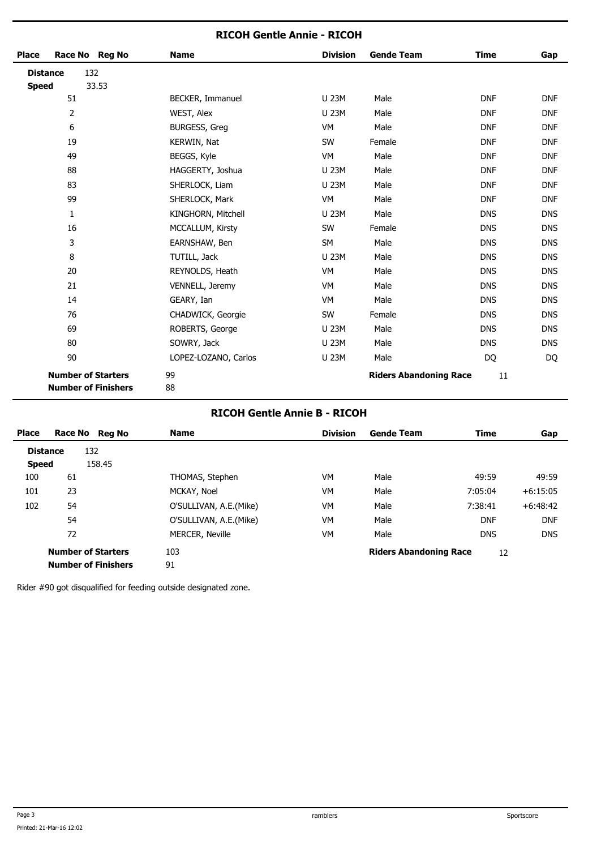### **RICOH Gentle Annie - RICOH**

| Race No Reg No<br><b>Place</b>                          | <b>Name</b>          | <b>Division</b> | <b>Gende Team</b>             | <b>Time</b> | Gap        |
|---------------------------------------------------------|----------------------|-----------------|-------------------------------|-------------|------------|
| 132<br><b>Distance</b>                                  |                      |                 |                               |             |            |
| 33.53<br><b>Speed</b>                                   |                      |                 |                               |             |            |
| 51                                                      | BECKER, Immanuel     | <b>U 23M</b>    | Male                          | <b>DNF</b>  | <b>DNF</b> |
| $\overline{2}$                                          | WEST, Alex           | U 23M           | Male                          | <b>DNF</b>  | <b>DNF</b> |
| 6                                                       | <b>BURGESS, Greg</b> | VM              | Male                          | <b>DNF</b>  | <b>DNF</b> |
| 19                                                      | KERWIN, Nat          | SW              | Female                        | <b>DNF</b>  | <b>DNF</b> |
| 49                                                      | BEGGS, Kyle          | VM              | Male                          | <b>DNF</b>  | <b>DNF</b> |
| 88                                                      | HAGGERTY, Joshua     | U 23M           | Male                          | <b>DNF</b>  | <b>DNF</b> |
| 83                                                      | SHERLOCK, Liam       | <b>U 23M</b>    | Male                          | <b>DNF</b>  | <b>DNF</b> |
| 99                                                      | SHERLOCK, Mark       | <b>VM</b>       | Male                          | <b>DNF</b>  | <b>DNF</b> |
| $\mathbf{1}$                                            | KINGHORN, Mitchell   | U 23M           | Male                          | <b>DNS</b>  | <b>DNS</b> |
| 16                                                      | MCCALLUM, Kirsty     | SW              | Female                        | <b>DNS</b>  | <b>DNS</b> |
| 3                                                       | EARNSHAW, Ben        | SM              | Male                          | <b>DNS</b>  | <b>DNS</b> |
| 8                                                       | TUTILL, Jack         | U 23M           | Male                          | <b>DNS</b>  | <b>DNS</b> |
| 20                                                      | REYNOLDS, Heath      | VM              | Male                          | <b>DNS</b>  | <b>DNS</b> |
| 21                                                      | VENNELL, Jeremy      | VM              | Male                          | <b>DNS</b>  | <b>DNS</b> |
| 14                                                      | GEARY, Ian           | VM              | Male                          | <b>DNS</b>  | <b>DNS</b> |
| 76                                                      | CHADWICK, Georgie    | SW              | Female                        | <b>DNS</b>  | <b>DNS</b> |
| 69                                                      | ROBERTS, George      | <b>U 23M</b>    | Male                          | <b>DNS</b>  | <b>DNS</b> |
| 80                                                      | SOWRY, Jack          | U 23M           | Male                          | <b>DNS</b>  | <b>DNS</b> |
| 90                                                      | LOPEZ-LOZANO, Carlos | U 23M           | Male                          | DQ          | DQ         |
| <b>Number of Starters</b><br><b>Number of Finishers</b> | 99<br>88             |                 | <b>Riders Abandoning Race</b> | 11          |            |

### **RICOH Gentle Annie B - RICOH**

| <b>Place</b> |                 | Race No Reg No             | <b>Name</b>            | <b>Division</b> | <b>Gende Team</b>             | <b>Time</b> | Gap        |
|--------------|-----------------|----------------------------|------------------------|-----------------|-------------------------------|-------------|------------|
|              | <b>Distance</b> | 132                        |                        |                 |                               |             |            |
| <b>Speed</b> |                 | 158.45                     |                        |                 |                               |             |            |
| 100          | 61              |                            | THOMAS, Stephen        | VM              | Male                          | 49:59       | 49:59      |
| 101          | 23              |                            | MCKAY, Noel            | VM              | Male                          | 7:05:04     | $+6:15:05$ |
| 102          | 54              |                            | O'SULLIVAN, A.E.(Mike) | VM              | Male                          | 7:38:41     | $+6:48:42$ |
|              | 54              |                            | O'SULLIVAN, A.E.(Mike) | VM              | Male                          | <b>DNF</b>  | <b>DNF</b> |
|              | 72              |                            | MERCER, Neville        | VM              | Male                          | <b>DNS</b>  | <b>DNS</b> |
|              |                 | <b>Number of Starters</b>  | 103                    |                 | <b>Riders Abandoning Race</b> | 12          |            |
|              |                 | <b>Number of Finishers</b> | 91                     |                 |                               |             |            |

Rider #90 got disqualified for feeding outside designated zone.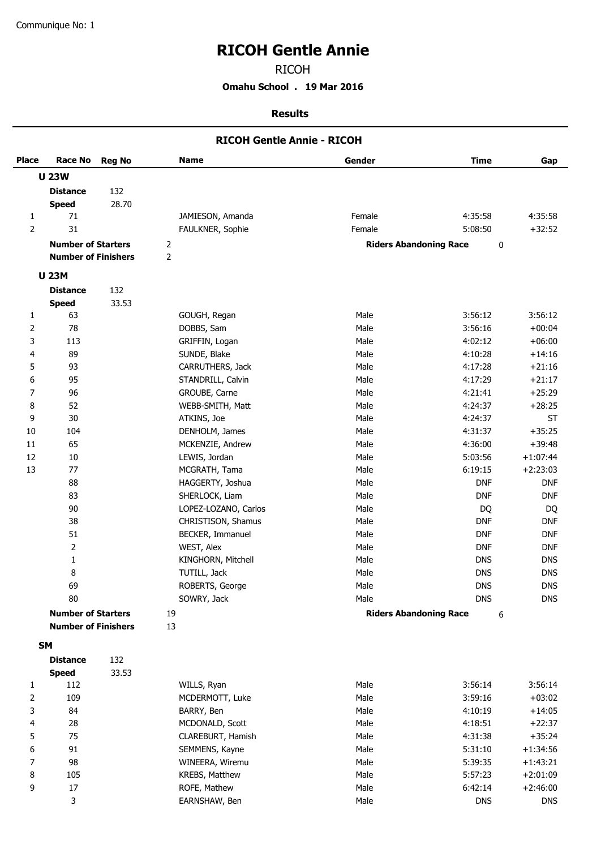$\overline{a}$ 

# **RICOH Gentle Annie**

RICOH

**Omahu School . 19 Mar 2016**

#### **Results**

|                |                            |               | <b>RICOH Gentle Annie - RICOH</b> |                               |             |            |
|----------------|----------------------------|---------------|-----------------------------------|-------------------------------|-------------|------------|
| <b>Place</b>   | <b>Race No</b>             | <b>Reg No</b> | <b>Name</b>                       | Gender                        | <b>Time</b> | Gap        |
|                | <b>U 23W</b>               |               |                                   |                               |             |            |
|                | <b>Distance</b>            | 132           |                                   |                               |             |            |
|                | <b>Speed</b>               | 28.70         |                                   |                               |             |            |
| 1              | 71                         |               | JAMIESON, Amanda                  | Female                        | 4:35:58     | 4:35:58    |
| $\overline{2}$ | 31                         |               | FAULKNER, Sophie                  | Female                        | 5:08:50     | $+32:52$   |
|                | <b>Number of Starters</b>  |               | $\overline{2}$                    | <b>Riders Abandoning Race</b> | $\pmb{0}$   |            |
|                | <b>Number of Finishers</b> |               | $\overline{2}$                    |                               |             |            |
|                | <b>U 23M</b>               |               |                                   |                               |             |            |
|                | <b>Distance</b>            | 132           |                                   |                               |             |            |
|                | <b>Speed</b>               | 33.53         |                                   |                               |             |            |
| 1              | 63                         |               | GOUGH, Regan                      | Male                          | 3:56:12     | 3:56:12    |
| 2              | 78                         |               | DOBBS, Sam                        | Male                          | 3:56:16     | $+00:04$   |
| 3              | 113                        |               | GRIFFIN, Logan                    | Male                          | 4:02:12     | $+06:00$   |
| 4              | 89                         |               | SUNDE, Blake                      | Male                          | 4:10:28     | $+14:16$   |
| 5              | 93                         |               | CARRUTHERS, Jack                  | Male                          | 4:17:28     | $+21:16$   |
| 6              | 95                         |               | STANDRILL, Calvin                 | Male                          | 4:17:29     | $+21:17$   |
| 7              | 96                         |               | GROUBE, Carne                     | Male                          | 4:21:41     | $+25:29$   |
| 8              | 52                         |               | WEBB-SMITH, Matt                  | Male                          | 4:24:37     | $+28:25$   |
| 9              | 30                         |               | ATKINS, Joe                       | Male                          | 4:24:37     | <b>ST</b>  |
| 10             | 104                        |               | DENHOLM, James                    | Male                          | 4:31:37     | $+35:25$   |
| 11             | 65                         |               | MCKENZIE, Andrew                  | Male                          | 4:36:00     | $+39:48$   |
| 12             | 10                         |               | LEWIS, Jordan                     | Male                          | 5:03:56     | $+1:07:44$ |
| 13             | 77                         |               | MCGRATH, Tama                     | Male                          | 6:19:15     | $+2:23:03$ |
|                | 88                         |               | HAGGERTY, Joshua                  | Male                          | <b>DNF</b>  | <b>DNF</b> |
|                | 83                         |               | SHERLOCK, Liam                    | Male                          | <b>DNF</b>  | <b>DNF</b> |
|                | 90                         |               | LOPEZ-LOZANO, Carlos              | Male                          | DQ          | DQ         |
|                | 38                         |               | CHRISTISON, Shamus                | Male                          | <b>DNF</b>  | <b>DNF</b> |
|                | 51                         |               | BECKER, Immanuel                  | Male                          | <b>DNF</b>  | <b>DNF</b> |
|                | $\overline{2}$             |               | WEST, Alex                        | Male                          | <b>DNF</b>  | <b>DNF</b> |
|                | $\mathbf 1$                |               | KINGHORN, Mitchell                | Male                          | <b>DNS</b>  | <b>DNS</b> |
|                | 8                          |               | TUTILL, Jack                      | Male                          | <b>DNS</b>  | <b>DNS</b> |
|                | 69                         |               | ROBERTS, George                   | Male                          | <b>DNS</b>  | <b>DNS</b> |
|                | 80                         |               | SOWRY, Jack                       | Male                          | <b>DNS</b>  | <b>DNS</b> |
|                | <b>Number of Starters</b>  |               | 19                                | <b>Riders Abandoning Race</b> | 6           |            |
|                | <b>Number of Finishers</b> |               | 13                                |                               |             |            |
|                | <b>SM</b>                  |               |                                   |                               |             |            |
|                | <b>Distance</b>            | 132           |                                   |                               |             |            |
|                | <b>Speed</b>               | 33.53         |                                   |                               |             |            |
| 1              | 112                        |               | WILLS, Ryan                       | Male                          | 3:56:14     | 3:56:14    |
| 2              | 109                        |               | MCDERMOTT, Luke                   | Male                          | 3:59:16     | $+03:02$   |
| 3              | 84                         |               | BARRY, Ben                        | Male                          | 4:10:19     | $+14:05$   |
| 4              | 28                         |               | MCDONALD, Scott                   | Male                          | 4:18:51     | $+22:37$   |
| 5              | 75                         |               | CLAREBURT, Hamish                 | Male                          | 4:31:38     | $+35:24$   |
| 6              | $91\,$                     |               | SEMMENS, Kayne                    | Male                          | 5:31:10     | $+1:34:56$ |
| 7              | 98                         |               | WINEERA, Wiremu                   | Male                          | 5:39:35     | $+1:43:21$ |
| 8              | 105                        |               | KREBS, Matthew                    | Male                          | 5:57:23     | $+2:01:09$ |
| 9              | $17\,$                     |               | ROFE, Mathew                      | Male                          | 6:42:14     | $+2:46:00$ |

3 BARNSHAW, Ben Male Male DNS DNS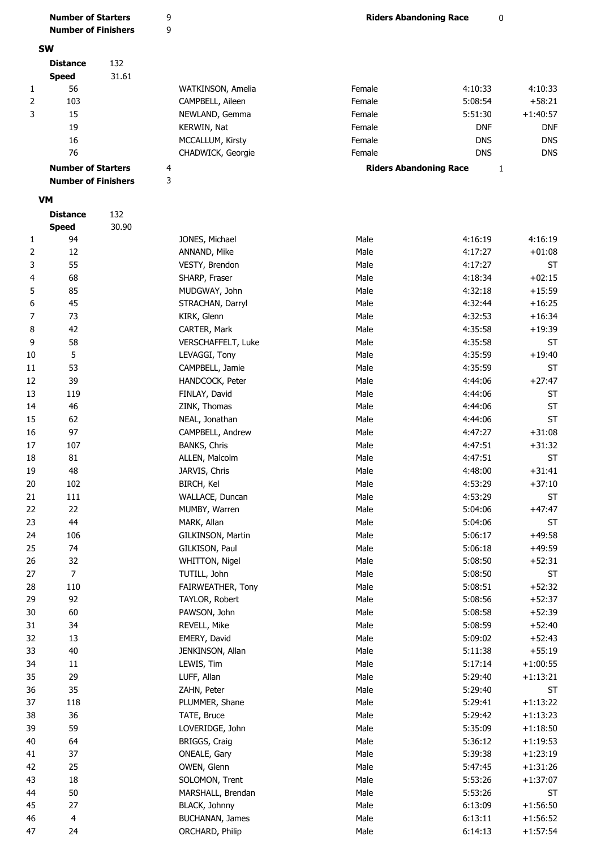|                | <b>Number of Starters</b>  |       | 9                   | <b>Riders Abandoning Race</b> | 0            |            |
|----------------|----------------------------|-------|---------------------|-------------------------------|--------------|------------|
|                | <b>Number of Finishers</b> |       | 9                   |                               |              |            |
|                |                            |       |                     |                               |              |            |
|                | <b>SW</b>                  |       |                     |                               |              |            |
|                | <b>Distance</b>            | 132   |                     |                               |              |            |
|                | <b>Speed</b>               | 31.61 |                     |                               |              |            |
| 1              | 56                         |       | WATKINSON, Amelia   | Female                        | 4:10:33      | 4:10:33    |
| $\overline{2}$ | 103                        |       | CAMPBELL, Aileen    | Female                        | 5:08:54      | $+58:21$   |
| 3              | 15                         |       | NEWLAND, Gemma      | Female                        | 5:51:30      | $+1:40:57$ |
|                | 19                         |       | KERWIN, Nat         | Female                        | <b>DNF</b>   | <b>DNF</b> |
|                | 16                         |       | MCCALLUM, Kirsty    | Female                        | <b>DNS</b>   | <b>DNS</b> |
|                | 76                         |       | CHADWICK, Georgie   | Female                        | <b>DNS</b>   | <b>DNS</b> |
|                | <b>Number of Starters</b>  |       | 4                   | <b>Riders Abandoning Race</b> | $\mathbf{1}$ |            |
|                | <b>Number of Finishers</b> |       | 3                   |                               |              |            |
|                |                            |       |                     |                               |              |            |
|                | <b>VM</b>                  |       |                     |                               |              |            |
|                | <b>Distance</b>            | 132   |                     |                               |              |            |
|                | <b>Speed</b>               | 30.90 |                     |                               |              |            |
| 1              | 94                         |       | JONES, Michael      | Male                          | 4:16:19      | 4:16:19    |
| 2              | 12                         |       | ANNAND, Mike        | Male                          | 4:17:27      | $+01:08$   |
| 3              | 55                         |       | VESTY, Brendon      | Male                          | 4:17:27      | <b>ST</b>  |
| 4              | 68                         |       | SHARP, Fraser       | Male                          | 4:18:34      | $+02:15$   |
| 5              | 85                         |       | MUDGWAY, John       | Male                          | 4:32:18      | $+15:59$   |
| 6              | 45                         |       | STRACHAN, Darryl    | Male                          | 4:32:44      | $+16:25$   |
| 7              | 73                         |       | KIRK, Glenn         | Male                          | 4:32:53      | $+16:34$   |
|                | 42                         |       |                     | Male                          | 4:35:58      | $+19:39$   |
| 8              |                            |       | CARTER, Mark        |                               |              |            |
| 9              | 58                         |       | VERSCHAFFELT, Luke  | Male                          | 4:35:58      | <b>ST</b>  |
| 10             | 5                          |       | LEVAGGI, Tony       | Male                          | 4:35:59      | $+19:40$   |
| 11             | 53                         |       | CAMPBELL, Jamie     | Male                          | 4:35:59      | <b>ST</b>  |
| 12             | 39                         |       | HANDCOCK, Peter     | Male                          | 4:44:06      | $+27:47$   |
| 13             | 119                        |       | FINLAY, David       | Male                          | 4:44:06      | <b>ST</b>  |
| 14             | 46                         |       | ZINK, Thomas        | Male                          | 4:44:06      | <b>ST</b>  |
| 15             | 62                         |       | NEAL, Jonathan      | Male                          | 4:44:06      | <b>ST</b>  |
| 16             | 97                         |       | CAMPBELL, Andrew    | Male                          | 4:47:27      | $+31:08$   |
| 17             | 107                        |       | <b>BANKS, Chris</b> | Male                          | 4:47:51      | $+31:32$   |
| 18             | 81                         |       | ALLEN, Malcolm      | Male                          | 4:47:51      | <b>ST</b>  |
| 19             | 48                         |       | JARVIS, Chris       | Male                          | 4:48:00      | $+31:41$   |
| $20\,$         | 102                        |       | <b>BIRCH, Kel</b>   | Male                          | 4:53:29      | $+37:10$   |
| 21             | 111                        |       | WALLACE, Duncan     | Male                          | 4:53:29      | ST         |
| 22             | 22                         |       | MUMBY, Warren       | Male                          | 5:04:06      | $+47:47$   |
| 23             | 44                         |       | MARK, Allan         | Male                          | 5:04:06      | ST         |
| 24             | 106                        |       | GILKINSON, Martin   | Male                          | 5:06:17      | $+49:58$   |
| 25             | 74                         |       | GILKISON, Paul      | Male                          | 5:06:18      | $+49:59$   |
| 26             | 32                         |       | WHITTON, Nigel      | Male                          | 5:08:50      | $+52:31$   |
| 27             | $\overline{7}$             |       | TUTILL, John        | Male                          | 5:08:50      | ST         |
|                |                            |       |                     |                               |              |            |
| 28             | 110                        |       | FAIRWEATHER, Tony   | Male                          | 5:08:51      | $+52:32$   |
| 29             | 92                         |       | TAYLOR, Robert      | Male                          | 5:08:56      | $+52:37$   |
| 30             | 60                         |       | PAWSON, John        | Male                          | 5:08:58      | $+52:39$   |
| 31             | 34                         |       | REVELL, Mike        | Male                          | 5:08:59      | $+52:40$   |
| 32             | 13                         |       | EMERY, David        | Male                          | 5:09:02      | $+52:43$   |
| 33             | $40\,$                     |       | JENKINSON, Allan    | Male                          | 5:11:38      | $+55:19$   |
| 34             | $11\,$                     |       | LEWIS, Tim          | Male                          | 5:17:14      | $+1:00:55$ |
| 35             | 29                         |       | LUFF, Allan         | Male                          | 5:29:40      | $+1:13:21$ |
| 36             | 35                         |       | ZAHN, Peter         | Male                          | 5:29:40      | ST         |
| 37             | 118                        |       | PLUMMER, Shane      | Male                          | 5:29:41      | $+1:13:22$ |
| 38             | 36                         |       | TATE, Bruce         | Male                          | 5:29:42      | $+1:13:23$ |
| 39             | 59                         |       | LOVERIDGE, John     | Male                          | 5:35:09      | $+1:18:50$ |
| 40             | 64                         |       | BRIGGS, Craig       | Male                          | 5:36:12      | $+1:19:53$ |
| 41             | 37                         |       | ONEALE, Gary        | Male                          | 5:39:38      | $+1:23:19$ |
| 42             | 25                         |       | OWEN, Glenn         | Male                          | 5:47:45      | $+1:31:26$ |
| 43             | 18                         |       | SOLOMON, Trent      | Male                          | 5:53:26      | $+1:37:07$ |
| 44             | 50                         |       | MARSHALL, Brendan   | Male                          | 5:53:26      | ST         |
| 45             | 27                         |       | BLACK, Johnny       | Male                          | 6:13:09      | $+1:56:50$ |
|                |                            |       | BUCHANAN, James     |                               |              |            |
| 46             | 4                          |       |                     | Male                          | 6:13:11      | $+1:56:52$ |
| 47             | 24                         |       | ORCHARD, Philip     | Male                          | 6:14:13      | $+1:57:54$ |